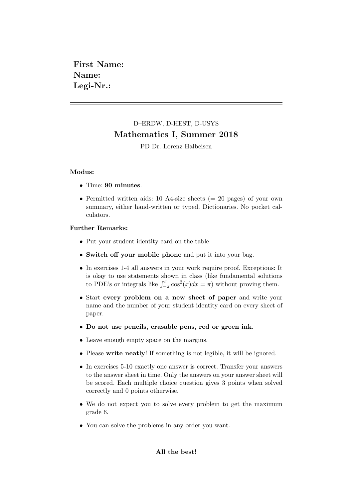First Name: Name: Legi-Nr.:

## D–ERDW, D-HEST, D-USYS Mathematics I, Summer 2018

PD Dr. Lorenz Halbeisen

## Modus:

- Time: 90 minutes.
- Permitted written aids: 10 A4-size sheets ( $= 20$  pages) of your own summary, either hand-written or typed. Dictionaries. No pocket calculators.

## Further Remarks:

- Put your student identity card on the table.
- Switch off your mobile phone and put it into your bag.
- In exercises 1-4 all answers in your work require proof. Exceptions: It is okay to use statements shown in class (like fundamental solutions to PDE's or integrals like  $\int_{-\pi}^{\pi} \cos^2(x) dx = \pi$ ) without proving them.
- Start every problem on a new sheet of paper and write your name and the number of your student identity card on every sheet of paper.
- Do not use pencils, erasable pens, red or green ink.
- Leave enough empty space on the margins.
- Please write neatly! If something is not legible, it will be ignored.
- In exercises 5-10 exactly one answer is correct. Transfer your answers to the answer sheet in time. Only the answers on your answer sheet will be scored. Each multiple choice question gives 3 points when solved correctly and 0 points otherwise.
- We do not expect you to solve every problem to get the maximum grade 6.
- You can solve the problems in any order you want.

## All the best!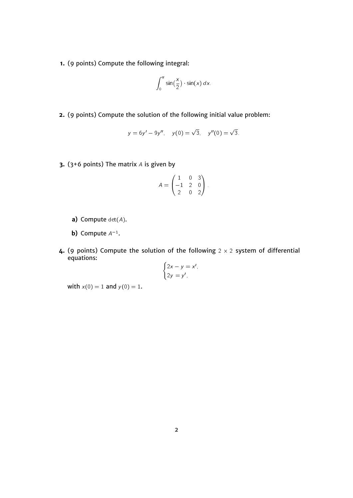**1.** (9 points) Compute the following integral:

$$
\int_0^\pi \sin\left(\frac{x}{2}\right) \cdot \sin(x) \ dx.
$$

**2.** (9 points) Compute the solution of the following initial value problem:

$$
y = 6y' - 9y''
$$
,  $y(0) = \sqrt{3}$ ,  $y''(0) = \sqrt{3}$ .

**3.** (3+6 points) The matrix A is given by

$$
A = \begin{pmatrix} 1 & 0 & 3 \\ -1 & 2 & 0 \\ 2 & 0 & 2 \end{pmatrix}.
$$

- **a)** Compute  $det(A)$ .
- **b)** Compute  $A^{-1}$ .
- **4.** (9 points) Compute the solution of the following  $2 \times 2$  system of differential equations:  $\epsilon$

$$
\begin{cases} 2x - y = x', \\ 2y = y'. \end{cases}
$$

with  $x(0) = 1$  and  $y(0) = 1$ .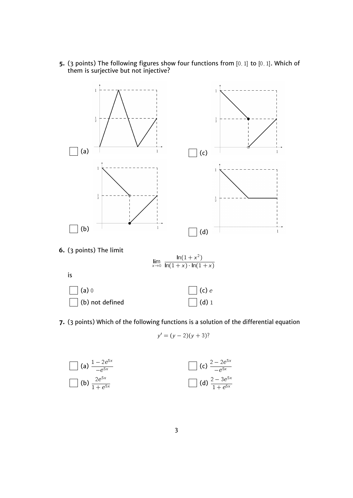**5.** (3 points) The following figures show four functions from [0, 1] to [0, 1]. Which of them is surjective but not injective?



$$
\mathsf{is}
$$

| $\vert$ $\vert$ (a) 0   | $\left  \quad \right $ (c) e                     |
|-------------------------|--------------------------------------------------|
| $\vert$ (b) not defined | $\left  \left  \left( d \right) \right  \right $ |

**7.** (3 points) Which of the following functions is a solution of the differential equation

$$
y' = (y - 2)(y + 3)?
$$

(a) 
$$
\frac{1 - 2e^{5x}}{-e^{5x}}
$$
  
(b)  $\frac{2e^{5x}}{1 + e^{5x}}$   
(c)  $\frac{2 - 2e^{5x}}{-e^{5x}}$   
(d)  $\frac{2 - 3e^{5x}}{1 + e^{5x}}$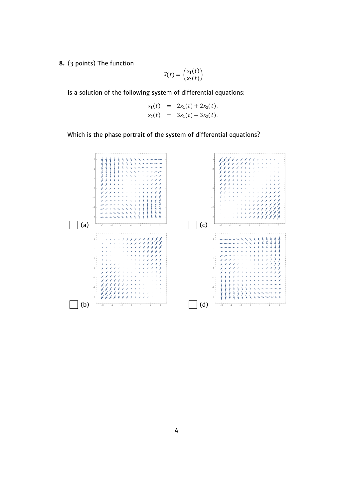**8.** (3 points) The function

$$
\vec{x}(t) = \begin{pmatrix} x_1(t) \\ x_2(t) \end{pmatrix}
$$

is a solution of the following system of differential equations:

$$
x_1(t) = 2x_1(t) + 2x_2(t),
$$
  

$$
x_2(t) = 3x_1(t) - 3x_2(t).
$$

Which is the phase portrait of the system of differential equations?